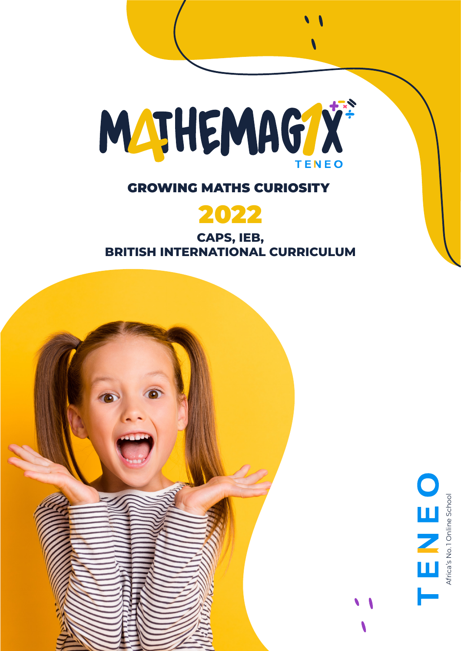

### GROWING MATHS CURIOSITY



**CAPS, IEB, BRITISH INTERNATIONAL CURRICULUM**

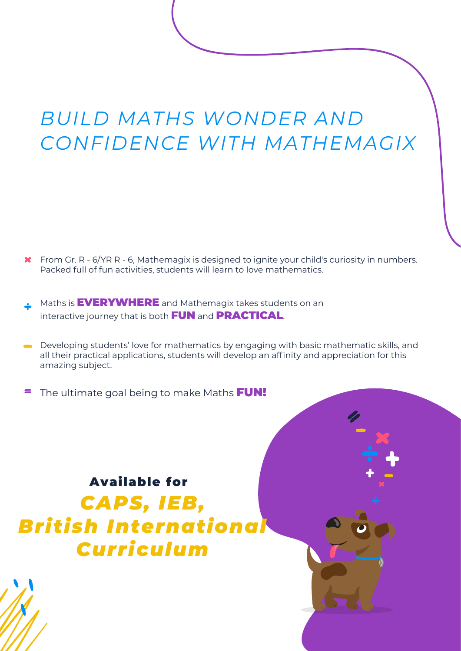# *BUILD MATHS WONDER AND CONFIDENCE WITH MATHEMAGIX*

- **K** From Gr. R 6/YR R 6, Mathemagix is designed to ignite your child's curiosity in numbers. Packed full of fun activities, students will learn to love mathematics.
- Maths is **EVERYWHERE** and Mathemagix takes students on an interactive journey that is both FUN and PRACTICAL.
- Developing students' love for mathematics by engaging with basic mathematic skills, and all their practical applications, students will develop an affinity and appreciation for this amazing subject.
- $\blacksquare$ The ultimate goal being to make Maths FUN!

Available for *CAPS, IEB, British International Curriculum*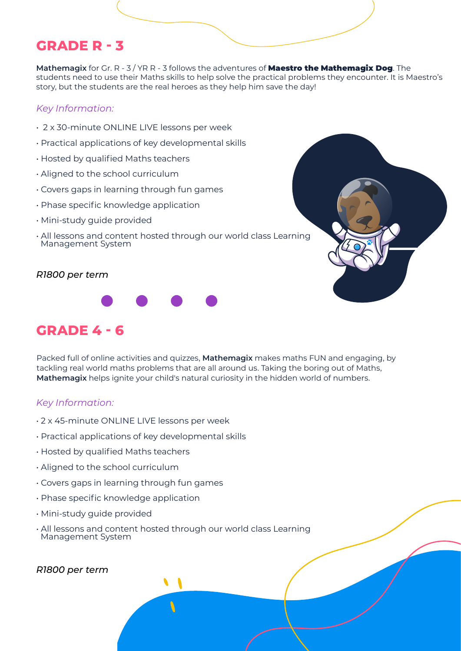## **GRADE R - 3**

**Mathemagix** for Gr. R - 3 / YR R - 3 follows the adventures of Maestro the Mathemagix Dog. The students need to use their Maths skills to help solve the practical problems they encounter. It is Maestro's story, but the students are the real heroes as they help him save the day!

#### *Key Information:*

- 2 x 30-minute ONLINE LIVE lessons per week
- Practical applications of key developmental skills
- Hosted by qualified Maths teachers
- Aligned to the school curriculum
- Covers gaps in learning through fun games
- Phase specific knowledge application
- Mini-study guide provided
- All lessons and content hosted through our world class Learning Management System



#### *R1800 per term*



## **GRADE 4 - 6**

Packed full of online activities and quizzes, **Mathemagix** makes maths FUN and engaging, by tackling real world maths problems that are all around us. Taking the boring out of Maths, **Mathemagix** helps ignite your child's natural curiosity in the hidden world of numbers.

#### *Key Information:*

- 2 x 45-minute ONLINE LIVE lessons per week
- Practical applications of key developmental skills
- Hosted by qualified Maths teachers
- Aligned to the school curriculum
- Covers gaps in learning through fun games
- Phase specific knowledge application
- Mini-study guide provided
- All lessons and content hosted through our world class Learning Management System

#### *R1800 per term*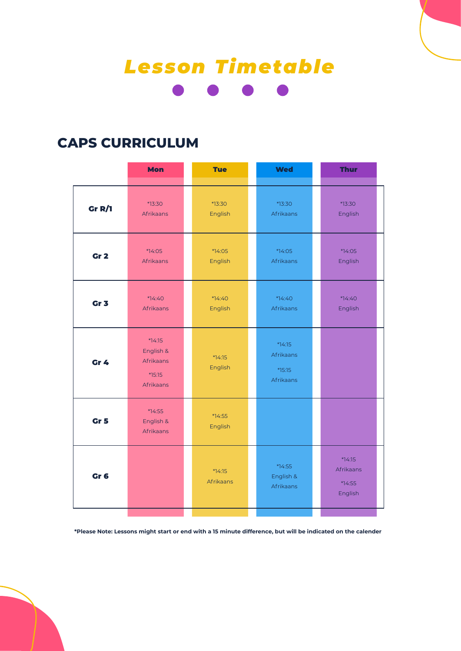# *Lesson Timetable*

## **CAPS CURRICULUM**

|                 | <b>Mon</b>                                                  | <b>Tue</b>            | <b>Wed</b>                                     | <b>Thur</b>                                |
|-----------------|-------------------------------------------------------------|-----------------------|------------------------------------------------|--------------------------------------------|
| Gr $R/I$        | *13:30<br>Afrikaans                                         | *13:30<br>English     | *13:30<br>Afrikaans                            | *13:30<br>English                          |
| Gr <sub>2</sub> | *14:05<br>Afrikaans                                         | *14:05<br>English     | *14:05<br>Afrikaans                            | *14:05<br>English                          |
| Gr <sub>3</sub> | *14:40<br>Afrikaans                                         | $*14:40$<br>English   | *14:40<br>Afrikaans                            | *14:40<br>English                          |
| Gr 4            | $*14:15$<br>English &<br>Afrikaans<br>$*15:15$<br>Afrikaans | $*14:15$<br>English   | $*14:15$<br>Afrikaans<br>$*15:15$<br>Afrikaans |                                            |
| Gr <sub>5</sub> | *14:55<br>English &<br>Afrikaans                            | $*74:55$<br>English   |                                                |                                            |
| Gr <sub>6</sub> |                                                             | $*14:15$<br>Afrikaans | $*14:55$<br>English &<br>Afrikaans             | *14:15<br>Afrikaans<br>$*14:55$<br>English |

**\*Please Note: Lessons might start or end with a 15 minute difference, but will be indicated on the calender**